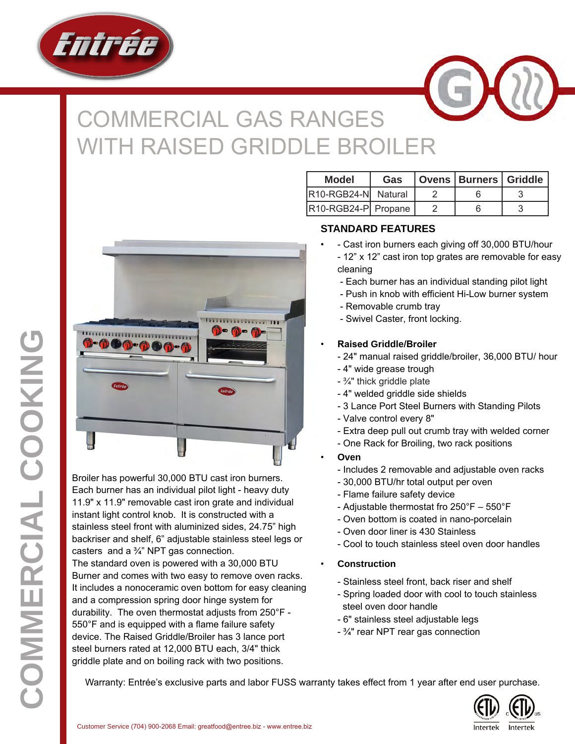

## COMMERCIAL GAS RANGES **ITH RAISED GRIDDLE BROILER**



Broiler has powerful 30,000 BTU cast iron burners. Each burner has an individual pilot light - heavy duty 11.9" x 11.9" removable cast iron grate and individual instant light control knob. It is constructed with a stainless steel front with aluminized sides, 24.75" high backriser and shelf, 6" adjustable stainless steel legs or casters and a  $\frac{3}{4}$ " NPT gas connection.

The standard oven is powered with a 30,000 BTU Burner and comes with two easy to remove oven racks. It includes a nonoceramic oven bottom for easy cleaning and a compression spring door hinge system for durability. The oven thermostat adjusts from 250°F - 550°F and is equipped with a flame failure safety device. The Raised Griddle/Broiler has 3 lance port steel burners rated at 12,000 BTU each, 3/4" thick griddle plate and on boiling rack with two positions.

| <b>Model</b>        | <b>Gas</b> | Ovens   Burners   Griddle |  |  |
|---------------------|------------|---------------------------|--|--|
| R10-RGB24-N Natural |            |                           |  |  |
| R10-RGB24-P Propane |            |                           |  |  |

## **STANDARD FEATURES**

- - Cast iron burners each giving off 30,000 BTU/hour - 12" x 12" cast iron top grates are removable for easy cleaning
	- Each burner has an individual standing pilot light
	- Push in knob with efficient Hi-Low burner system
	- Removable crumb tray
	- Swivel Caster, front locking.
- **Raised Griddle/Broiler**
	- 24" manual raised griddle/broiler, 36,000 BTU/ hour
	- 4" wide grease trough
	- $\frac{3}{4}$ " thick griddle plate
	- 4" welded griddle side shields
	- 3 Lance Port Steel Burners with Standing Pilots
	- Valve control every 8"
	- Extra deep pull out crumb tray with welded corner
	- One Rack for Broiling, two rack positions
- **Oven**
	- Includes 2 removable and adjustable oven racks
	- 30,000 BTU/hr total output per oven
	- Flame failure safety device
	- Adjustable thermostat fro 250°F 550°F
	- Oven bottom is coated in nano-porcelain
	- Oven door liner is 430 Stainless
	- Cool to touch stainless steel oven door handles

## • **Construction**

- Stainless steel front, back riser and shelf
- Spring loaded door with cool to touch stainless steel oven door handle
- 6" stainless steel adjustable legs
- ¾" rear NPT rear gas connection

Warranty: Entrée's exclusive parts and labor FUSS warranty takes effect from 1 year after end user purchase.